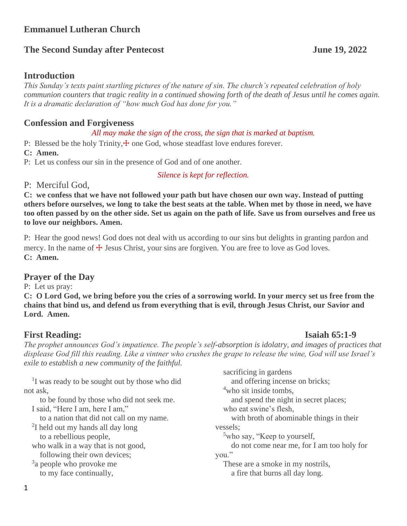# **Emmanuel Lutheran Church**

# **The Second Sunday after Pentecost June 19, 2022**

## **Introduction**

*This Sunday's texts paint startling pictures of the nature of sin. The church's repeated celebration of holy communion counters that tragic reality in a continued showing forth of the death of Jesus until he comes again. It is a dramatic declaration of "how much God has done for you."*

## **Confession and Forgiveness**

## *All may make the sign of the cross, the sign that is marked at baptism.*

P: Blessed be the holy Trinity,  $\frac{1}{2}$  one God, whose steadfast love endures forever.

**C: Amen.**

P: Let us confess our sin in the presence of God and of one another.

### *Silence is kept for reflection.*

P: Merciful God,

**C: we confess that we have not followed your path but have chosen our own way. Instead of putting others before ourselves, we long to take the best seats at the table. When met by those in need, we have too often passed by on the other side. Set us again on the path of life. Save us from ourselves and free us to love our neighbors. Amen.**

P: Hear the good news! God does not deal with us according to our sins but delights in granting pardon and mercy. In the name of  $\pm$  Jesus Christ, your sins are forgiven. You are free to love as God loves. **C: Amen.**

# **Prayer of the Day**

P: Let us pray:

**C: O Lord God, we bring before you the cries of a sorrowing world. In your mercy set us free from the chains that bind us, and defend us from everything that is evil, through Jesus Christ, our Savior and Lord. Amen.**

# **First Reading:** Isaiah 65:1-9

*The prophet announces God's impatience. The people's self-absorption is idolatry, and images of practices that displease God fill this reading. Like a vintner who crushes the grape to release the wine, God will use Israel's exile to establish a new community of the faithful.*

<sup>1</sup>I was ready to be sought out by those who did not ask,

to be found by those who did not seek me.

I said, "Here I am, here I am,"

to a nation that did not call on my name.

<sup>2</sup>I held out my hands all day long

to a rebellious people,

who walk in a way that is not good,

following their own devices;

<sup>3</sup>a people who provoke me to my face continually,

sacrificing in gardens and offering incense on bricks; <sup>4</sup>who sit inside tombs, and spend the night in secret places; who eat swine's flesh, with broth of abominable things in their vessels; <sup>5</sup>who say, "Keep to yourself, do not come near me, for I am too holy for you." These are a smoke in my nostrils, a fire that burns all day long.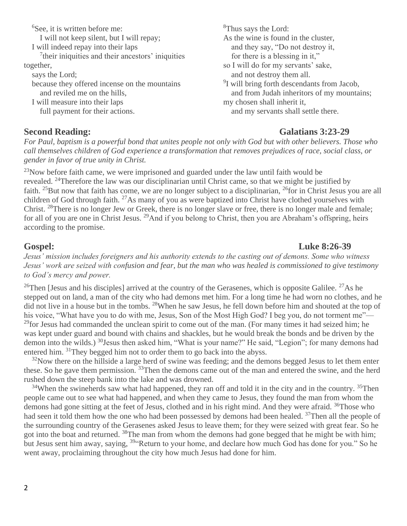<sup>6</sup>See, it is written before me: I will not keep silent, but I will repay; I will indeed repay into their laps <sup>7</sup>their iniquities and their ancestors' iniquities together, says the Lord; because they offered incense on the mountains and reviled me on the hills, I will measure into their laps full payment for their actions.

<sup>8</sup>Thus says the Lord: As the wine is found in the cluster, and they say, "Do not destroy it, for there is a blessing in it," so I will do for my servants' sake, and not destroy them all. <sup>9</sup>I will bring forth descendants from Jacob, and from Judah inheritors of my mountains; my chosen shall inherit it, and my servants shall settle there.

### **Second Reading: Galatians 3:23-29**

*For Paul, baptism is a powerful bond that unites people not only with God but with other believers. Those who call themselves children of God experience a transformation that removes prejudices of race, social class, or gender in favor of true unity in Christ.*

 $^{23}$ Now before faith came, we were imprisoned and guarded under the law until faith would be revealed. <sup>24</sup>Therefore the law was our disciplinarian until Christ came, so that we might be justified by faith. <sup>25</sup>But now that faith has come, we are no longer subject to a disciplinarian, <sup>26</sup>for in Christ Jesus you are all children of God through faith. <sup>27</sup>As many of you as were baptized into Christ have clothed yourselves with Christ. <sup>28</sup>There is no longer Jew or Greek, there is no longer slave or free, there is no longer male and female; for all of you are one in Christ Jesus. <sup>29</sup>And if you belong to Christ, then you are Abraham's offspring, heirs according to the promise.

## **Gospel: Luke 8:26-39**

*Jesus' mission includes foreigners and his authority extends to the casting out of demons. Some who witness Jesus' work are seized with confusion and fear, but the man who was healed is commissioned to give testimony to God's mercy and power.*

<sup>26</sup>Then [Jesus and his disciples] arrived at the country of the Gerasenes, which is opposite Galilee. <sup>27</sup>As he stepped out on land, a man of the city who had demons met him. For a long time he had worn no clothes, and he did not live in a house but in the tombs. <sup>28</sup>When he saw Jesus, he fell down before him and shouted at the top of his voice, "What have you to do with me, Jesus, Son of the Most High God? I beg you, do not torment me"— <sup>29</sup>for Jesus had commanded the unclean spirit to come out of the man. (For many times it had seized him; he was kept under guard and bound with chains and shackles, but he would break the bonds and be driven by the demon into the wilds.) <sup>30</sup>Jesus then asked him, "What is your name?" He said, "Legion"; for many demons had entered him. <sup>31</sup>They begged him not to order them to go back into the abyss.

 $32$ Now there on the hillside a large herd of swine was feeding; and the demons begged Jesus to let them enter these. So he gave them permission. <sup>33</sup>Then the demons came out of the man and entered the swine, and the herd rushed down the steep bank into the lake and was drowned.

 $34$ When the swineherds saw what had happened, they ran off and told it in the city and in the country.  $35$ Then people came out to see what had happened, and when they came to Jesus, they found the man from whom the demons had gone sitting at the feet of Jesus, clothed and in his right mind. And they were afraid. <sup>36</sup>Those who had seen it told them how the one who had been possessed by demons had been healed. <sup>37</sup>Then all the people of the surrounding country of the Gerasenes asked Jesus to leave them; for they were seized with great fear. So he got into the boat and returned. <sup>38</sup>The man from whom the demons had gone begged that he might be with him; but Jesus sent him away, saying, <sup>39</sup> Return to your home, and declare how much God has done for you." So he went away, proclaiming throughout the city how much Jesus had done for him.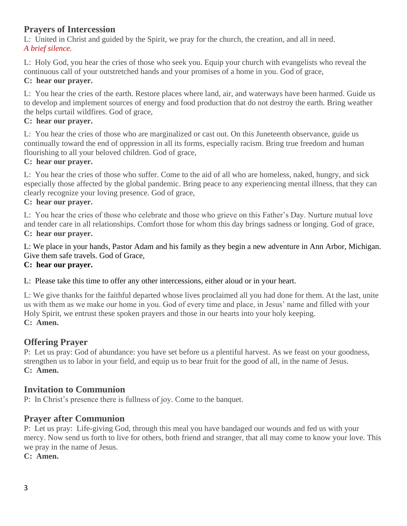# **Prayers of Intercession**

L: United in Christ and guided by the Spirit, we pray for the church, the creation, and all in need. *A brief silence.*

L: Holy God, you hear the cries of those who seek you. Equip your church with evangelists who reveal the continuous call of your outstretched hands and your promises of a home in you. God of grace,

## **C: hear our prayer.**

L: You hear the cries of the earth. Restore places where land, air, and waterways have been harmed. Guide us to develop and implement sources of energy and food production that do not destroy the earth. Bring weather the helps curtail wildfires. God of grace,

## **C: hear our prayer.**

L: You hear the cries of those who are marginalized or cast out. On this Juneteenth observance, guide us continually toward the end of oppression in all its forms, especially racism. Bring true freedom and human flourishing to all your beloved children. God of grace,

## **C: hear our prayer.**

L: You hear the cries of those who suffer. Come to the aid of all who are homeless, naked, hungry, and sick especially those affected by the global pandemic. Bring peace to any experiencing mental illness, that they can clearly recognize your loving presence. God of grace,

## **C: hear our prayer.**

L: You hear the cries of those who celebrate and those who grieve on this Father's Day. Nurture mutual love and tender care in all relationships. Comfort those for whom this day brings sadness or longing. God of grace, **C: hear our prayer.**

L: We place in your hands, Pastor Adam and his family as they begin a new adventure in Ann Arbor, Michigan. Give them safe travels. God of Grace,

## **C: hear our prayer.**

L: Please take this time to offer any other intercessions, either aloud or in your heart.

L: We give thanks for the faithful departed whose lives proclaimed all you had done for them. At the last, unite us with them as we make our home in you. God of every time and place, in Jesus' name and filled with your Holy Spirit, we entrust these spoken prayers and those in our hearts into your holy keeping. **C: Amen.**

# **Offering Prayer**

P: Let us pray: God of abundance: you have set before us a plentiful harvest. As we feast on your goodness, strengthen us to labor in your field, and equip us to bear fruit for the good of all, in the name of Jesus. **C: Amen.**

## **Invitation to Communion**

P: In Christ's presence there is fullness of joy. Come to the banquet.

# **Prayer after Communion**

P: Let us pray: Life-giving God, through this meal you have bandaged our wounds and fed us with your mercy. Now send us forth to live for others, both friend and stranger, that all may come to know your love. This we pray in the name of Jesus.

**C: Amen.**